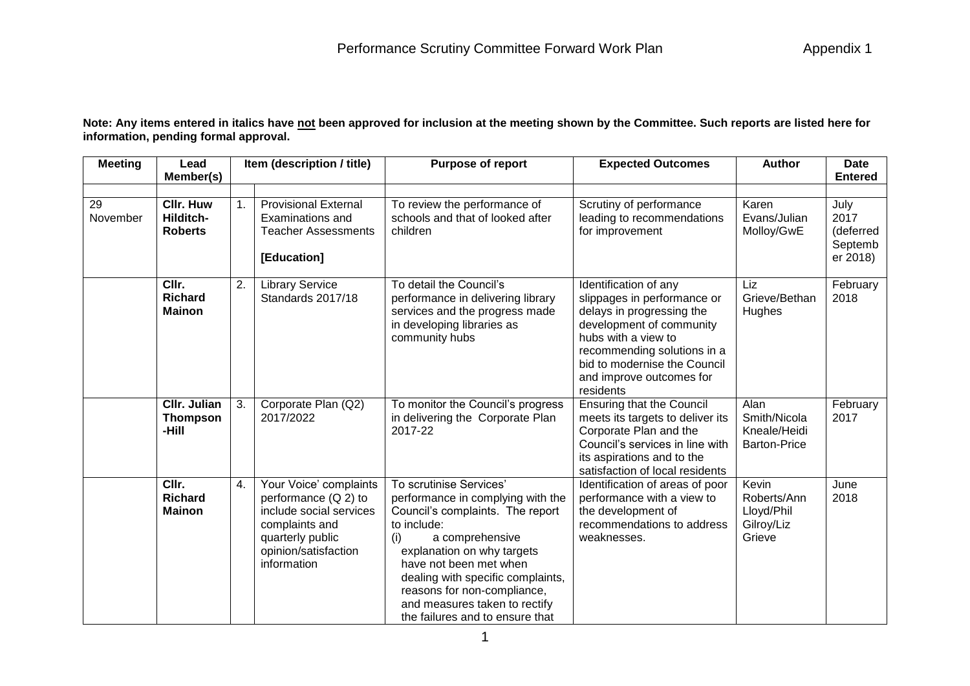**Note: Any items entered in italics have not been approved for inclusion at the meeting shown by the Committee. Such reports are listed here for information, pending formal approval.**

| <b>Meeting</b> | Lead<br>Member(s)                               |                | Item (description / title)                                                                                                                             | <b>Purpose of report</b>                                                                                                                                                                                                                                                                                                                  | <b>Expected Outcomes</b>                                                                                                                                                                                                                     | <b>Author</b>                                               | <b>Date</b><br><b>Entered</b>                    |
|----------------|-------------------------------------------------|----------------|--------------------------------------------------------------------------------------------------------------------------------------------------------|-------------------------------------------------------------------------------------------------------------------------------------------------------------------------------------------------------------------------------------------------------------------------------------------------------------------------------------------|----------------------------------------------------------------------------------------------------------------------------------------------------------------------------------------------------------------------------------------------|-------------------------------------------------------------|--------------------------------------------------|
| 29<br>November | <b>Cllr. Huw</b><br>Hilditch-<br><b>Roberts</b> | 1 <sub>1</sub> | <b>Provisional External</b><br><b>Examinations and</b><br><b>Teacher Assessments</b><br>[Education]                                                    | To review the performance of<br>schools and that of looked after<br>children                                                                                                                                                                                                                                                              | Scrutiny of performance<br>leading to recommendations<br>for improvement                                                                                                                                                                     | Karen<br>Evans/Julian<br>Molloy/GwE                         | July<br>2017<br>(deferred<br>Septemb<br>er 2018) |
|                | CIIr.<br><b>Richard</b><br><b>Mainon</b>        | 2.             | <b>Library Service</b><br>Standards 2017/18                                                                                                            | To detail the Council's<br>performance in delivering library<br>services and the progress made<br>in developing libraries as<br>community hubs                                                                                                                                                                                            | Identification of any<br>slippages in performance or<br>delays in progressing the<br>development of community<br>hubs with a view to<br>recommending solutions in a<br>bid to modernise the Council<br>and improve outcomes for<br>residents | Liz<br>Grieve/Bethan<br>Hughes                              | February<br>2018                                 |
|                | <b>CIIr. Julian</b><br><b>Thompson</b><br>-Hill | 3.             | Corporate Plan (Q2)<br>2017/2022                                                                                                                       | To monitor the Council's progress<br>in delivering the Corporate Plan<br>2017-22                                                                                                                                                                                                                                                          | <b>Ensuring that the Council</b><br>meets its targets to deliver its<br>Corporate Plan and the<br>Council's services in line with<br>its aspirations and to the<br>satisfaction of local residents                                           | Alan<br>Smith/Nicola<br>Kneale/Heidi<br><b>Barton-Price</b> | February<br>2017                                 |
|                | CIIr.<br><b>Richard</b><br><b>Mainon</b>        | 4.             | Your Voice' complaints<br>performance (Q 2) to<br>include social services<br>complaints and<br>quarterly public<br>opinion/satisfaction<br>information | To scrutinise Services'<br>performance in complying with the<br>Council's complaints. The report<br>to include:<br>a comprehensive<br>(i)<br>explanation on why targets<br>have not been met when<br>dealing with specific complaints,<br>reasons for non-compliance,<br>and measures taken to rectify<br>the failures and to ensure that | Identification of areas of poor<br>performance with a view to<br>the development of<br>recommendations to address<br>weaknesses.                                                                                                             | Kevin<br>Roberts/Ann<br>Lloyd/Phil<br>Gilroy/Liz<br>Grieve  | June<br>2018                                     |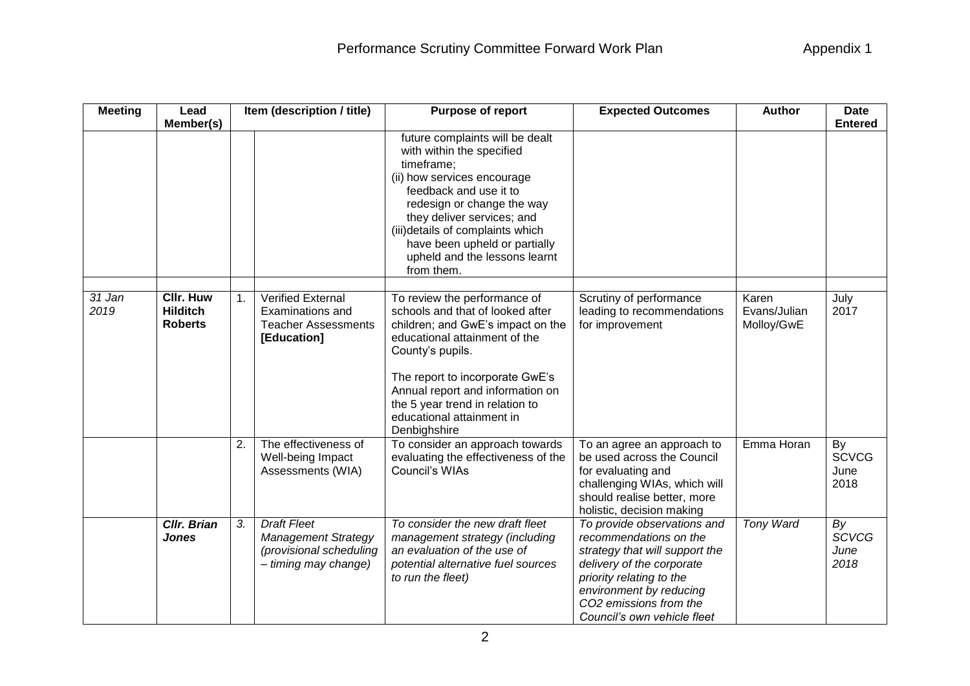| <b>Meeting</b> | Lead                                                  | Item (description / title) |                                                                                                     | Purpose of report                                                                                                                                                                                                                                                                                                   | <b>Expected Outcomes</b>                                                                                                                                                                                                             | <b>Author</b>                       | <b>Date</b>                        |  |
|----------------|-------------------------------------------------------|----------------------------|-----------------------------------------------------------------------------------------------------|---------------------------------------------------------------------------------------------------------------------------------------------------------------------------------------------------------------------------------------------------------------------------------------------------------------------|--------------------------------------------------------------------------------------------------------------------------------------------------------------------------------------------------------------------------------------|-------------------------------------|------------------------------------|--|
|                | Member(s)                                             |                            |                                                                                                     | future complaints will be dealt<br>with within the specified<br>timeframe;<br>(ii) how services encourage<br>feedback and use it to<br>redesign or change the way<br>they deliver services; and<br>(iii)details of complaints which<br>have been upheld or partially<br>upheld and the lessons learnt<br>from them. |                                                                                                                                                                                                                                      |                                     | <b>Entered</b>                     |  |
| 31 Jan<br>2019 | <b>CIIr. Huw</b><br><b>Hilditch</b><br><b>Roberts</b> | 1.                         | <b>Verified External</b><br>Examinations and<br><b>Teacher Assessments</b><br>[Education]           | To review the performance of<br>schools and that of looked after<br>children; and GwE's impact on the<br>educational attainment of the<br>County's pupils.<br>The report to incorporate GwE's<br>Annual report and information on<br>the 5 year trend in relation to<br>educational attainment in<br>Denbighshire   | Scrutiny of performance<br>leading to recommendations<br>for improvement                                                                                                                                                             | Karen<br>Evans/Julian<br>Molloy/GwE | July<br>2017                       |  |
|                |                                                       | 2.                         | The effectiveness of<br>Well-being Impact<br>Assessments (WIA)                                      | To consider an approach towards<br>evaluating the effectiveness of the<br>Council's WIAs                                                                                                                                                                                                                            | To an agree an approach to<br>be used across the Council<br>for evaluating and<br>challenging WIAs, which will<br>should realise better, more<br>holistic, decision making                                                           | Emma Horan                          | By<br><b>SCVCG</b><br>June<br>2018 |  |
|                | <b>CIIr. Brian</b><br><b>Jones</b>                    | 3.                         | <b>Draft Fleet</b><br><b>Management Strategy</b><br>(provisional scheduling<br>- timing may change) | To consider the new draft fleet<br>management strategy (including<br>an evaluation of the use of<br>potential alternative fuel sources<br>to run the fleet)                                                                                                                                                         | To provide observations and<br>recommendations on the<br>strategy that will support the<br>delivery of the corporate<br>priority relating to the<br>environment by reducing<br>CO2 emissions from the<br>Council's own vehicle fleet | Tony Ward                           | By<br><b>SCVCG</b><br>June<br>2018 |  |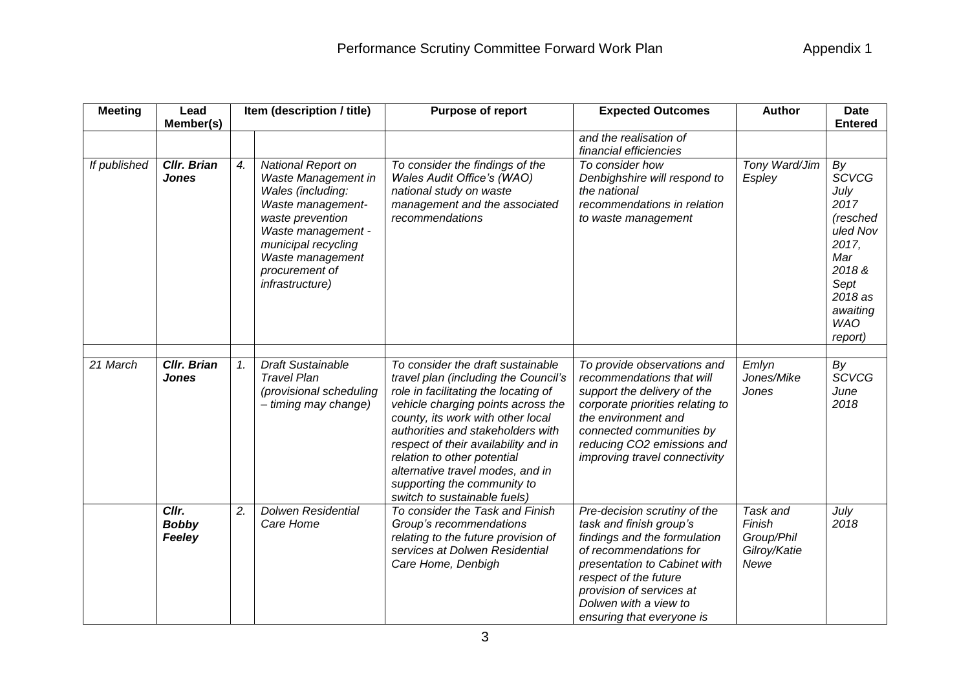| <b>Meeting</b> | Lead<br>Member(s)                  |    | Item (description / title)                                                                                                                                                                                           | Purpose of report                                                                                                                                                                                                                                                                                                                                                                                           | <b>Expected Outcomes</b>                                                                                                                                                                                                                                     | <b>Author</b>                                            | <b>Date</b><br><b>Entered</b>                                                                                                               |
|----------------|------------------------------------|----|----------------------------------------------------------------------------------------------------------------------------------------------------------------------------------------------------------------------|-------------------------------------------------------------------------------------------------------------------------------------------------------------------------------------------------------------------------------------------------------------------------------------------------------------------------------------------------------------------------------------------------------------|--------------------------------------------------------------------------------------------------------------------------------------------------------------------------------------------------------------------------------------------------------------|----------------------------------------------------------|---------------------------------------------------------------------------------------------------------------------------------------------|
|                |                                    |    |                                                                                                                                                                                                                      |                                                                                                                                                                                                                                                                                                                                                                                                             | and the realisation of<br>financial efficiencies                                                                                                                                                                                                             |                                                          |                                                                                                                                             |
| If published   | <b>Cllr. Brian</b><br><b>Jones</b> | 4. | National Report on<br>Waste Management in<br>Wales (including:<br>Waste management-<br>waste prevention<br>Waste management -<br>municipal recycling<br>Waste management<br>procurement of<br><i>infrastructure)</i> | To consider the findings of the<br>Wales Audit Office's (WAO)<br>national study on waste<br>management and the associated<br>recommendations                                                                                                                                                                                                                                                                | To consider how<br>Denbighshire will respond to<br>the national<br>recommendations in relation<br>to waste management                                                                                                                                        | Tony Ward/Jim<br>Espley                                  | By<br><b>SCVCG</b><br>July<br>2017<br>(resched<br>uled Nov<br>2017,<br>Mar<br>2018&<br>Sept<br>2018 as<br>awaiting<br><b>WAO</b><br>report) |
| 21 March       | <b>Cllr. Brian</b><br><b>Jones</b> | 1. | <b>Draft Sustainable</b><br><b>Travel Plan</b><br>(provisional scheduling<br>- timing may change)                                                                                                                    | To consider the draft sustainable<br>travel plan (including the Council's<br>role in facilitating the locating of<br>vehicle charging points across the<br>county, its work with other local<br>authorities and stakeholders with<br>respect of their availability and in<br>relation to other potential<br>alternative travel modes, and in<br>supporting the community to<br>switch to sustainable fuels) | To provide observations and<br>recommendations that will<br>support the delivery of the<br>corporate priorities relating to<br>the environment and<br>connected communities by<br>reducing CO2 emissions and<br>improving travel connectivity                | Emlyn<br>Jones/Mike<br>Jones                             | By<br><b>SCVCG</b><br>June<br>2018                                                                                                          |
|                | Cllr.<br><b>Bobby</b><br>Feeley    | 2. | <b>Dolwen Residential</b><br>Care Home                                                                                                                                                                               | To consider the Task and Finish<br>Group's recommendations<br>relating to the future provision of<br>services at Dolwen Residential<br>Care Home, Denbigh                                                                                                                                                                                                                                                   | Pre-decision scrutiny of the<br>task and finish group's<br>findings and the formulation<br>of recommendations for<br>presentation to Cabinet with<br>respect of the future<br>provision of services at<br>Dolwen with a view to<br>ensuring that everyone is | Task and<br>Finish<br>Group/Phil<br>Gilroy/Katie<br>Newe | July<br>2018                                                                                                                                |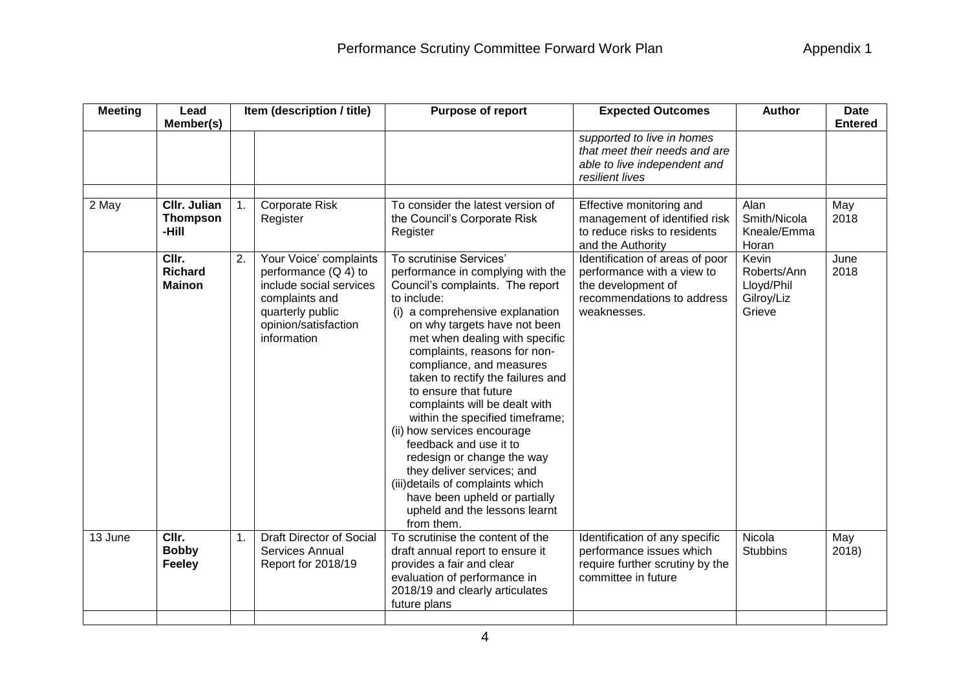| <b>Meeting</b> | Lead<br>Member(s)                        |                | Item (description / title)                                                                                                                             | Purpose of report                                                                                                                                                                                                                                                                                                                                                                                                                                                                                                                                                                                                                                           | <b>Expected Outcomes</b>                                                                                                         | <b>Author</b>                                              | <b>Date</b><br><b>Entered</b> |
|----------------|------------------------------------------|----------------|--------------------------------------------------------------------------------------------------------------------------------------------------------|-------------------------------------------------------------------------------------------------------------------------------------------------------------------------------------------------------------------------------------------------------------------------------------------------------------------------------------------------------------------------------------------------------------------------------------------------------------------------------------------------------------------------------------------------------------------------------------------------------------------------------------------------------------|----------------------------------------------------------------------------------------------------------------------------------|------------------------------------------------------------|-------------------------------|
|                |                                          |                |                                                                                                                                                        |                                                                                                                                                                                                                                                                                                                                                                                                                                                                                                                                                                                                                                                             | supported to live in homes<br>that meet their needs and are<br>able to live independent and<br>resilient lives                   |                                                            |                               |
| 2 May          | CIIr. Julian<br><b>Thompson</b><br>-Hill | $\mathbf{1}$ . | Corporate Risk<br>Register                                                                                                                             | To consider the latest version of<br>the Council's Corporate Risk<br>Register                                                                                                                                                                                                                                                                                                                                                                                                                                                                                                                                                                               | Effective monitoring and<br>management of identified risk<br>to reduce risks to residents<br>and the Authority                   | Alan<br>Smith/Nicola<br>Kneale/Emma<br>Horan               | May<br>2018                   |
|                | CIIr.<br><b>Richard</b><br><b>Mainon</b> | 2.             | Your Voice' complaints<br>performance (Q 4) to<br>include social services<br>complaints and<br>quarterly public<br>opinion/satisfaction<br>information | To scrutinise Services'<br>performance in complying with the<br>Council's complaints. The report<br>to include:<br>(i) a comprehensive explanation<br>on why targets have not been<br>met when dealing with specific<br>complaints, reasons for non-<br>compliance, and measures<br>taken to rectify the failures and<br>to ensure that future<br>complaints will be dealt with<br>within the specified timeframe;<br>(ii) how services encourage<br>feedback and use it to<br>redesign or change the way<br>they deliver services; and<br>(iii)details of complaints which<br>have been upheld or partially<br>upheld and the lessons learnt<br>from them. | Identification of areas of poor<br>performance with a view to<br>the development of<br>recommendations to address<br>weaknesses. | Kevin<br>Roberts/Ann<br>Lloyd/Phil<br>Gilroy/Liz<br>Grieve | June<br>2018                  |
| 13 June        | CIIr.<br><b>Bobby</b><br>Feeley          | 1.             | <b>Draft Director of Social</b><br><b>Services Annual</b><br>Report for 2018/19                                                                        | To scrutinise the content of the<br>draft annual report to ensure it<br>provides a fair and clear<br>evaluation of performance in<br>2018/19 and clearly articulates<br>future plans                                                                                                                                                                                                                                                                                                                                                                                                                                                                        | Identification of any specific<br>performance issues which<br>require further scrutiny by the<br>committee in future             | Nicola<br><b>Stubbins</b>                                  | May<br>2018                   |
|                |                                          |                |                                                                                                                                                        |                                                                                                                                                                                                                                                                                                                                                                                                                                                                                                                                                                                                                                                             |                                                                                                                                  |                                                            |                               |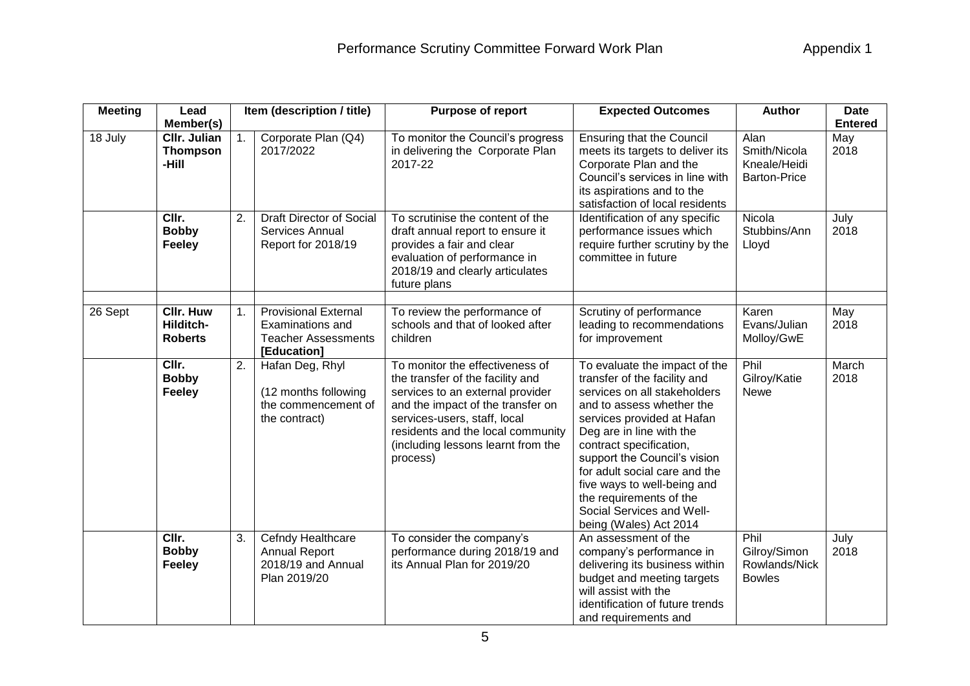| <b>Meeting</b> | Lead<br>Member(s)                                                                                                                                                                                                                                                                                                |                | Item (description / title)                                                                                           | Purpose of report                                                                                                                                                                                                                                                   | <b>Expected Outcomes</b>                                                                                                                                                                                                                                                                                                                                                                          | <b>Author</b>                                               | <b>Date</b><br><b>Entered</b> |
|----------------|------------------------------------------------------------------------------------------------------------------------------------------------------------------------------------------------------------------------------------------------------------------------------------------------------------------|----------------|----------------------------------------------------------------------------------------------------------------------|---------------------------------------------------------------------------------------------------------------------------------------------------------------------------------------------------------------------------------------------------------------------|---------------------------------------------------------------------------------------------------------------------------------------------------------------------------------------------------------------------------------------------------------------------------------------------------------------------------------------------------------------------------------------------------|-------------------------------------------------------------|-------------------------------|
| 18 July        | <b>CIIr. Julian</b><br><b>Thompson</b><br>-Hill                                                                                                                                                                                                                                                                  | 1 <sub>1</sub> | Corporate Plan (Q4)<br>2017/2022                                                                                     | To monitor the Council's progress<br>in delivering the Corporate Plan<br>2017-22                                                                                                                                                                                    | <b>Ensuring that the Council</b><br>meets its targets to deliver its<br>Corporate Plan and the<br>Council's services in line with<br>its aspirations and to the<br>satisfaction of local residents                                                                                                                                                                                                | Alan<br>Smith/Nicola<br>Kneale/Heidi<br><b>Barton-Price</b> | May<br>2018                   |
|                | CIIr.<br>2.<br><b>Draft Director of Social</b><br>To scrutinise the content of the<br><b>Bobby</b><br>Services Annual<br>draft annual report to ensure it<br>provides a fair and clear<br><b>Feeley</b><br>Report for 2018/19<br>evaluation of performance in<br>2018/19 and clearly articulates<br>future plans |                | Identification of any specific<br>performance issues which<br>require further scrutiny by the<br>committee in future | Nicola<br>Stubbins/Ann<br>Lloyd                                                                                                                                                                                                                                     | July<br>2018                                                                                                                                                                                                                                                                                                                                                                                      |                                                             |                               |
| 26 Sept        | <b>CIIr. Huw</b><br>Hilditch-<br><b>Roberts</b>                                                                                                                                                                                                                                                                  | 1.             | <b>Provisional External</b><br>Examinations and<br><b>Teacher Assessments</b><br>[Education]                         | To review the performance of<br>schools and that of looked after<br>children                                                                                                                                                                                        | Scrutiny of performance<br>leading to recommendations<br>for improvement                                                                                                                                                                                                                                                                                                                          | Karen<br>Evans/Julian<br>Molloy/GwE                         | May<br>2018                   |
|                | CIIr.<br><b>Bobby</b><br><b>Feeley</b>                                                                                                                                                                                                                                                                           | 2.             | Hafan Deg, Rhyl<br>(12 months following<br>the commencement of<br>the contract)                                      | To monitor the effectiveness of<br>the transfer of the facility and<br>services to an external provider<br>and the impact of the transfer on<br>services-users, staff, local<br>residents and the local community<br>(including lessons learnt from the<br>process) | To evaluate the impact of the<br>transfer of the facility and<br>services on all stakeholders<br>and to assess whether the<br>services provided at Hafan<br>Deg are in line with the<br>contract specification,<br>support the Council's vision<br>for adult social care and the<br>five ways to well-being and<br>the requirements of the<br>Social Services and Well-<br>being (Wales) Act 2014 | Phil<br>Gilroy/Katie<br><b>Newe</b>                         | March<br>2018                 |
|                | CIIr.<br><b>Bobby</b><br><b>Feeley</b>                                                                                                                                                                                                                                                                           | 3.             | Cefndy Healthcare<br><b>Annual Report</b><br>2018/19 and Annual<br>Plan 2019/20                                      | To consider the company's<br>performance during 2018/19 and<br>its Annual Plan for 2019/20                                                                                                                                                                          | An assessment of the<br>company's performance in<br>delivering its business within<br>budget and meeting targets<br>will assist with the<br>identification of future trends<br>and requirements and                                                                                                                                                                                               | Phil<br>Gilroy/Simon<br>Rowlands/Nick<br><b>Bowles</b>      | July<br>2018                  |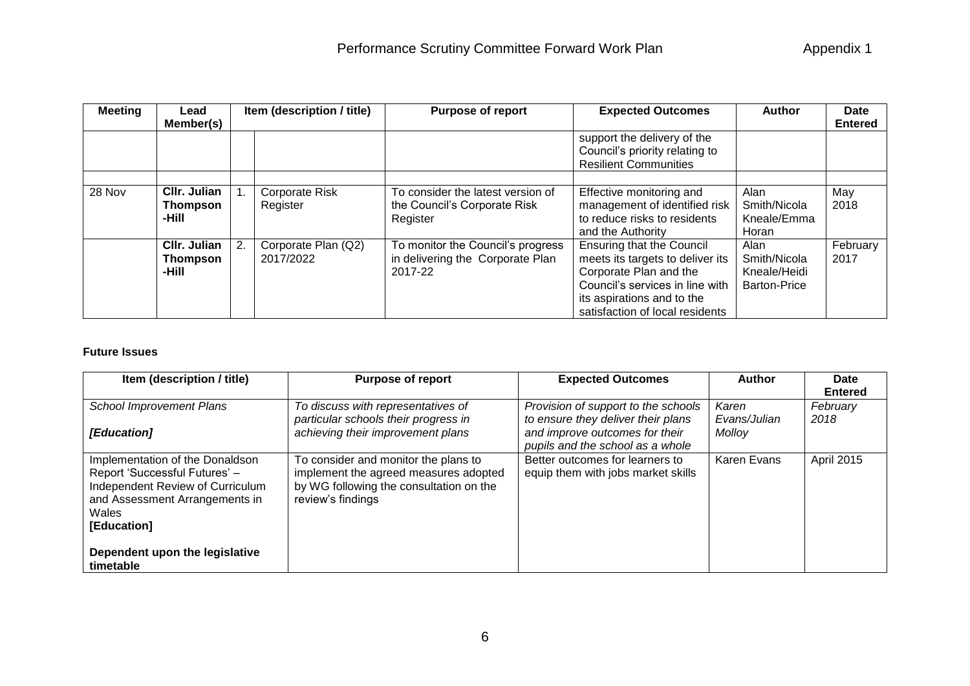| <b>Meeting</b> | Lead<br>Member(s)                        | Item (description / title)       | <b>Purpose of report</b>                                                         | <b>Expected Outcomes</b>                                                                                                                                                                           | <b>Author</b>                                               | <b>Date</b><br><b>Entered</b> |
|----------------|------------------------------------------|----------------------------------|----------------------------------------------------------------------------------|----------------------------------------------------------------------------------------------------------------------------------------------------------------------------------------------------|-------------------------------------------------------------|-------------------------------|
|                |                                          |                                  |                                                                                  | support the delivery of the<br>Council's priority relating to<br><b>Resilient Communities</b>                                                                                                      |                                                             |                               |
| 28 Nov         | CIIr. Julian<br><b>Thompson</b><br>-Hill | Corporate Risk<br>Register       | To consider the latest version of<br>the Council's Corporate Risk<br>Register    | Effective monitoring and<br>management of identified risk<br>to reduce risks to residents<br>and the Authority                                                                                     | Alan<br>Smith/Nicola<br>Kneale/Emma<br>Horan                | May<br>2018                   |
|                | CIIr. Julian<br><b>Thompson</b><br>-Hill | Corporate Plan (Q2)<br>2017/2022 | To monitor the Council's progress<br>in delivering the Corporate Plan<br>2017-22 | <b>Ensuring that the Council</b><br>meets its targets to deliver its<br>Corporate Plan and the<br>Council's services in line with<br>its aspirations and to the<br>satisfaction of local residents | Alan<br>Smith/Nicola<br>Kneale/Heidi<br><b>Barton-Price</b> | February<br>2017              |

## **Future Issues**

| Item (description / title)                                                                                                                                            | <b>Purpose of report</b>                                                                                                                      | <b>Expected Outcomes</b>                                                  | <b>Author</b>         | Date<br><b>Entered</b> |
|-----------------------------------------------------------------------------------------------------------------------------------------------------------------------|-----------------------------------------------------------------------------------------------------------------------------------------------|---------------------------------------------------------------------------|-----------------------|------------------------|
| <b>School Improvement Plans</b>                                                                                                                                       | To discuss with representatives of<br>particular schools their progress in                                                                    | Provision of support to the schools<br>to ensure they deliver their plans | Karen<br>Evans/Julian | February<br>2018       |
| [Education]                                                                                                                                                           | achieving their improvement plans                                                                                                             | and improve outcomes for their<br>pupils and the school as a whole        | Molloy                |                        |
| Implementation of the Donaldson<br>Report 'Successful Futures' -<br><b>Independent Review of Curriculum</b><br>and Assessment Arrangements in<br>Wales<br>[Education] | To consider and monitor the plans to<br>implement the agreed measures adopted<br>by WG following the consultation on the<br>review's findings | Better outcomes for learners to<br>equip them with jobs market skills     | Karen Evans           | <b>April 2015</b>      |
| Dependent upon the legislative<br>timetable                                                                                                                           |                                                                                                                                               |                                                                           |                       |                        |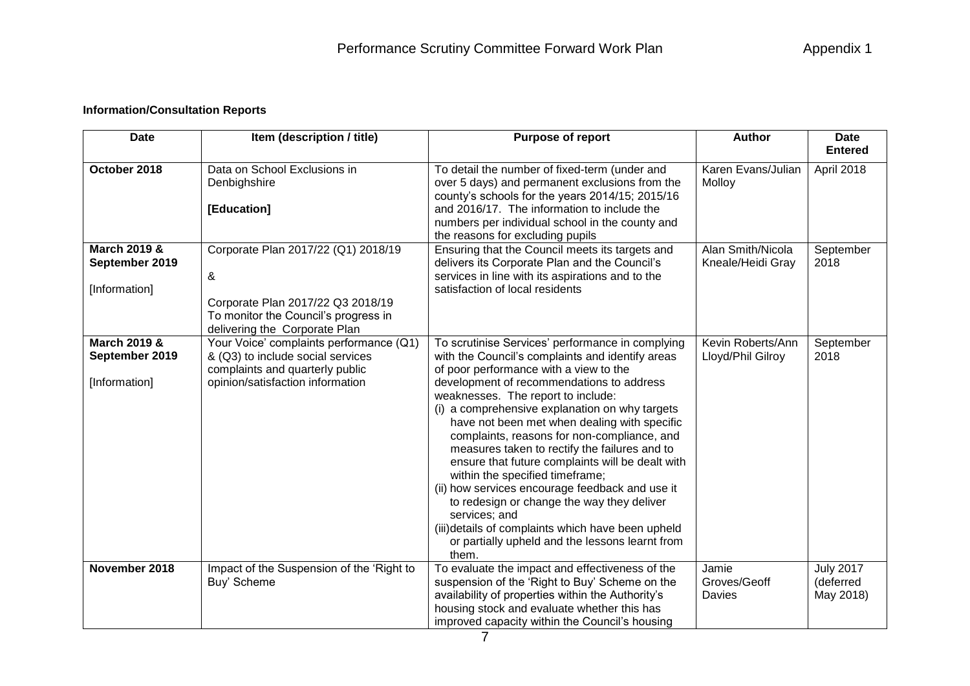## **Information/Consultation Reports**

| <b>Date</b>                                                | Item (description / title)                                                                                                                             | <b>Purpose of report</b>                                                                                                                                                                                                                                                                                                                                                                                                                                                                                                                                                                                                                                                                                                                                      | <b>Author</b>                          | <b>Date</b><br><b>Entered</b>              |
|------------------------------------------------------------|--------------------------------------------------------------------------------------------------------------------------------------------------------|---------------------------------------------------------------------------------------------------------------------------------------------------------------------------------------------------------------------------------------------------------------------------------------------------------------------------------------------------------------------------------------------------------------------------------------------------------------------------------------------------------------------------------------------------------------------------------------------------------------------------------------------------------------------------------------------------------------------------------------------------------------|----------------------------------------|--------------------------------------------|
| October 2018                                               | Data on School Exclusions in<br>Denbighshire<br>[Education]                                                                                            | To detail the number of fixed-term (under and<br>over 5 days) and permanent exclusions from the<br>county's schools for the years 2014/15; 2015/16<br>and 2016/17. The information to include the<br>numbers per individual school in the county and<br>the reasons for excluding pupils                                                                                                                                                                                                                                                                                                                                                                                                                                                                      | Karen Evans/Julian<br>Molloy           | April 2018                                 |
| <b>March 2019 &amp;</b><br>September 2019<br>[Information] | Corporate Plan 2017/22 (Q1) 2018/19<br>&<br>Corporate Plan 2017/22 Q3 2018/19<br>To monitor the Council's progress in<br>delivering the Corporate Plan | Ensuring that the Council meets its targets and<br>delivers its Corporate Plan and the Council's<br>services in line with its aspirations and to the<br>satisfaction of local residents                                                                                                                                                                                                                                                                                                                                                                                                                                                                                                                                                                       | Alan Smith/Nicola<br>Kneale/Heidi Gray | September<br>2018                          |
| <b>March 2019 &amp;</b><br>September 2019<br>[Information] | Your Voice' complaints performance (Q1)<br>& (Q3) to include social services<br>complaints and quarterly public<br>opinion/satisfaction information    | To scrutinise Services' performance in complying<br>with the Council's complaints and identify areas<br>of poor performance with a view to the<br>development of recommendations to address<br>weaknesses. The report to include:<br>(i) a comprehensive explanation on why targets<br>have not been met when dealing with specific<br>complaints, reasons for non-compliance, and<br>measures taken to rectify the failures and to<br>ensure that future complaints will be dealt with<br>within the specified timeframe;<br>(ii) how services encourage feedback and use it<br>to redesign or change the way they deliver<br>services; and<br>(iii)details of complaints which have been upheld<br>or partially upheld and the lessons learnt from<br>them. | Kevin Roberts/Ann<br>Lloyd/Phil Gilroy | September<br>2018                          |
| November 2018                                              | Impact of the Suspension of the 'Right to<br>Buy' Scheme                                                                                               | To evaluate the impact and effectiveness of the<br>suspension of the 'Right to Buy' Scheme on the<br>availability of properties within the Authority's<br>housing stock and evaluate whether this has<br>improved capacity within the Council's housing                                                                                                                                                                                                                                                                                                                                                                                                                                                                                                       | Jamie<br>Groves/Geoff<br>Davies        | <b>July 2017</b><br>(deferred<br>May 2018) |